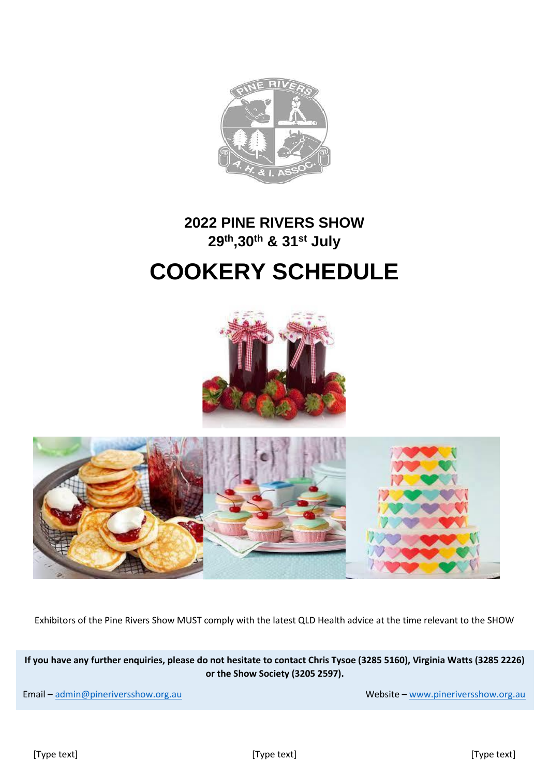

### **2022 PINE RIVERS SHOW 29th,30th & 31st July**

## **COOKERY SCHEDULE**



Exhibitors of the Pine Rivers Show MUST comply with the latest QLD Health advice at the time relevant to the SHOW

**If you have any further enquiries, please do not hesitate to contact Chris Tysoe (3285 5160), Virginia Watts (3285 2226) or the Show Society (3205 2597).**

Email – [admin@pineriversshow.org.au](mailto:admin@pineriversshow.org.au) Website – [www.pineriversshow.org.au](http://www.pineriversshow.org.au/) Website – www.pineriversshow.org.au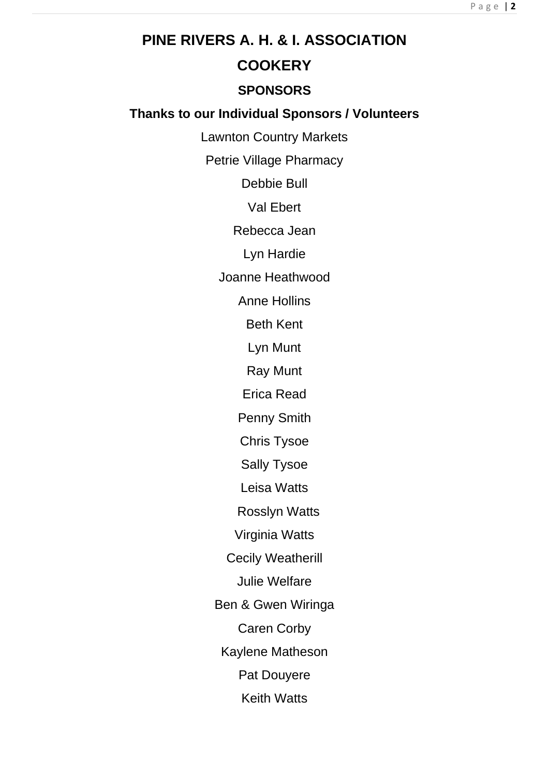# **PINE RIVERS A. H. & I. ASSOCIATION COOKERY SPONSORS Thanks to our Individual Sponsors / Volunteers**

Lawnton Country Markets

Petrie Village Pharmacy

Debbie Bull

Val Ebert

Rebecca Jean

Lyn Hardie

Joanne Heathwood

Anne Hollins

Beth Kent

Lyn Munt

Ray Munt

Erica Read

Penny Smith

Chris Tysoe

Sally Tysoe

Leisa Watts

Rosslyn Watts

Virginia Watts

Cecily Weatherill

Julie Welfare

Ben & Gwen Wiringa

Caren Corby

Kaylene Matheson

Pat Douyere

Keith Watts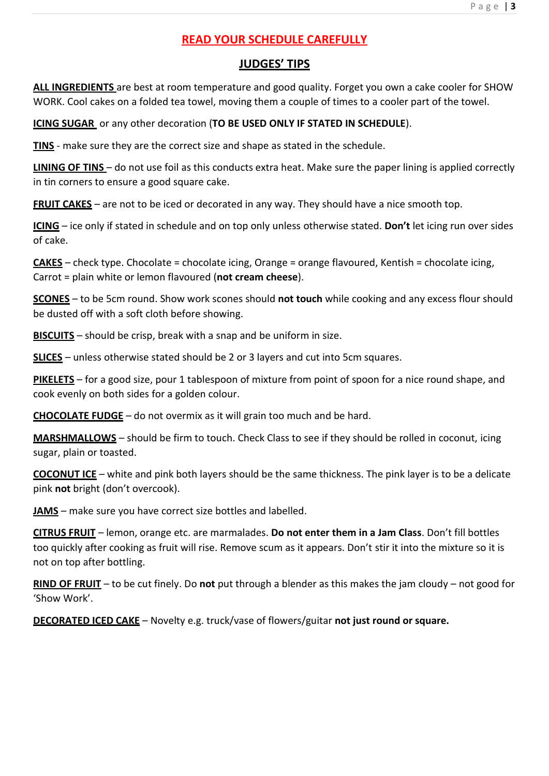#### **READ YOUR SCHEDULE CAREFULLY**

#### **JUDGES' TIPS**

**ALL INGREDIENTS** are best at room temperature and good quality. Forget you own a cake cooler for SHOW WORK. Cool cakes on a folded tea towel, moving them a couple of times to a cooler part of the towel.

**ICING SUGAR** or any other decoration (**TO BE USED ONLY IF STATED IN SCHEDULE**).

**TINS** - make sure they are the correct size and shape as stated in the schedule.

**LINING OF TINS** – do not use foil as this conducts extra heat. Make sure the paper lining is applied correctly in tin corners to ensure a good square cake.

**FRUIT CAKES** – are not to be iced or decorated in any way. They should have a nice smooth top.

**ICING** – ice only if stated in schedule and on top only unless otherwise stated. **Don't** let icing run over sides of cake.

**CAKES** – check type. Chocolate = chocolate icing, Orange = orange flavoured, Kentish = chocolate icing, Carrot = plain white or lemon flavoured (**not cream cheese**).

**SCONES** – to be 5cm round. Show work scones should **not touch** while cooking and any excess flour should be dusted off with a soft cloth before showing.

**BISCUITS** – should be crisp, break with a snap and be uniform in size.

**SLICES** – unless otherwise stated should be 2 or 3 layers and cut into 5cm squares.

**PIKELETS** – for a good size, pour 1 tablespoon of mixture from point of spoon for a nice round shape, and cook evenly on both sides for a golden colour.

**CHOCOLATE FUDGE** – do not overmix as it will grain too much and be hard.

**MARSHMALLOWS** – should be firm to touch. Check Class to see if they should be rolled in coconut, icing sugar, plain or toasted.

**COCONUT ICE** – white and pink both layers should be the same thickness. The pink layer is to be a delicate pink **not** bright (don't overcook).

**JAMS** – make sure you have correct size bottles and labelled.

**CITRUS FRUIT** – lemon, orange etc. are marmalades. **Do not enter them in a Jam Class**. Don't fill bottles too quickly after cooking as fruit will rise. Remove scum as it appears. Don't stir it into the mixture so it is not on top after bottling.

**RIND OF FRUIT** – to be cut finely. Do **not** put through a blender as this makes the jam cloudy – not good for 'Show Work'.

**DECORATED ICED CAKE** – Novelty e.g. truck/vase of flowers/guitar **not just round or square.**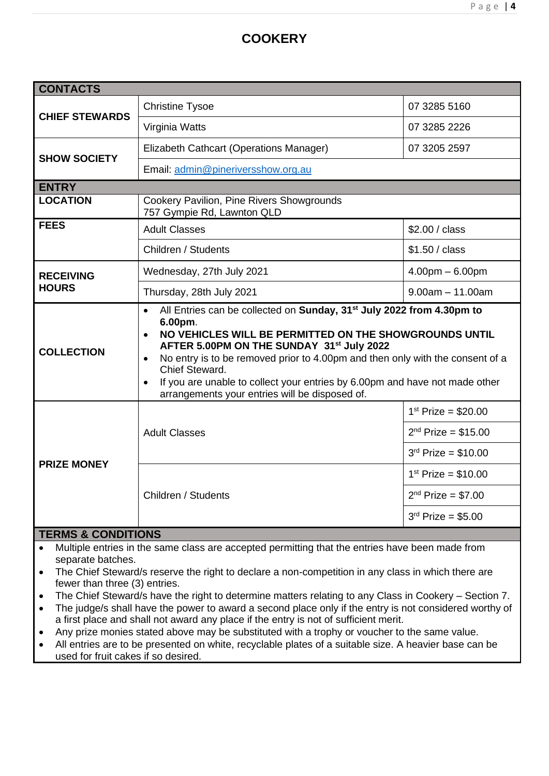### **COOKERY**

| <b>CONTACTS</b>               |                                                                                                                                                                                                                                                                                                                                                                                                                                                                   |                          |  |
|-------------------------------|-------------------------------------------------------------------------------------------------------------------------------------------------------------------------------------------------------------------------------------------------------------------------------------------------------------------------------------------------------------------------------------------------------------------------------------------------------------------|--------------------------|--|
| <b>CHIEF STEWARDS</b>         | <b>Christine Tysoe</b>                                                                                                                                                                                                                                                                                                                                                                                                                                            | 07 3285 5160             |  |
|                               | Virginia Watts                                                                                                                                                                                                                                                                                                                                                                                                                                                    | 07 3285 2226             |  |
| <b>SHOW SOCIETY</b>           | Elizabeth Cathcart (Operations Manager)                                                                                                                                                                                                                                                                                                                                                                                                                           | 07 3205 2597             |  |
|                               | Email: admin@pineriversshow.org.au                                                                                                                                                                                                                                                                                                                                                                                                                                |                          |  |
| <b>ENTRY</b>                  |                                                                                                                                                                                                                                                                                                                                                                                                                                                                   |                          |  |
| <b>LOCATION</b>               | Cookery Pavilion, Pine Rivers Showgrounds<br>757 Gympie Rd, Lawnton QLD                                                                                                                                                                                                                                                                                                                                                                                           |                          |  |
| <b>FEES</b>                   | <b>Adult Classes</b>                                                                                                                                                                                                                                                                                                                                                                                                                                              | \$2.00 / class           |  |
|                               | Children / Students                                                                                                                                                                                                                                                                                                                                                                                                                                               | \$1.50 / class           |  |
| <b>RECEIVING</b>              | Wednesday, 27th July 2021                                                                                                                                                                                                                                                                                                                                                                                                                                         | $4.00pm - 6.00pm$        |  |
| <b>HOURS</b>                  | Thursday, 28th July 2021                                                                                                                                                                                                                                                                                                                                                                                                                                          | $9.00am - 11.00am$       |  |
| <b>COLLECTION</b>             | All Entries can be collected on Sunday, 31 <sup>st</sup> July 2022 from 4.30pm to<br>$\bullet$<br>6.00pm.<br>NO VEHICLES WILL BE PERMITTED ON THE SHOWGROUNDS UNTIL<br>AFTER 5.00PM ON THE SUNDAY 31st July 2022<br>No entry is to be removed prior to 4.00pm and then only with the consent of a<br>Chief Steward.<br>If you are unable to collect your entries by 6.00pm and have not made other<br>$\bullet$<br>arrangements your entries will be disposed of. |                          |  |
|                               |                                                                                                                                                                                                                                                                                                                                                                                                                                                                   | $1^{st}$ Prize = \$20.00 |  |
|                               | <b>Adult Classes</b>                                                                                                                                                                                                                                                                                                                                                                                                                                              | $2^{nd}$ Prize = \$15.00 |  |
| <b>PRIZE MONEY</b>            |                                                                                                                                                                                                                                                                                                                                                                                                                                                                   | $3rd$ Prize = \$10.00    |  |
|                               |                                                                                                                                                                                                                                                                                                                                                                                                                                                                   | $1^{st}$ Prize = \$10.00 |  |
|                               | Children / Students                                                                                                                                                                                                                                                                                                                                                                                                                                               | $2^{nd}$ Prize = \$7.00  |  |
|                               |                                                                                                                                                                                                                                                                                                                                                                                                                                                                   | $3^{rd}$ Prize = \$5.00  |  |
| <b>TEDMS &amp; CONDITIONS</b> |                                                                                                                                                                                                                                                                                                                                                                                                                                                                   |                          |  |

#### **TERMS & CONDITIONS**

- Multiple entries in the same class are accepted permitting that the entries have been made from separate batches.
- The Chief Steward/s reserve the right to declare a non-competition in any class in which there are fewer than three (3) entries.
- The Chief Steward/s have the right to determine matters relating to any Class in Cookery Section 7.
- The judge/s shall have the power to award a second place only if the entry is not considered worthy of a first place and shall not award any place if the entry is not of sufficient merit.
- Any prize monies stated above may be substituted with a trophy or voucher to the same value.
- All entries are to be presented on white, recyclable plates of a suitable size. A heavier base can be used for fruit cakes if so desired.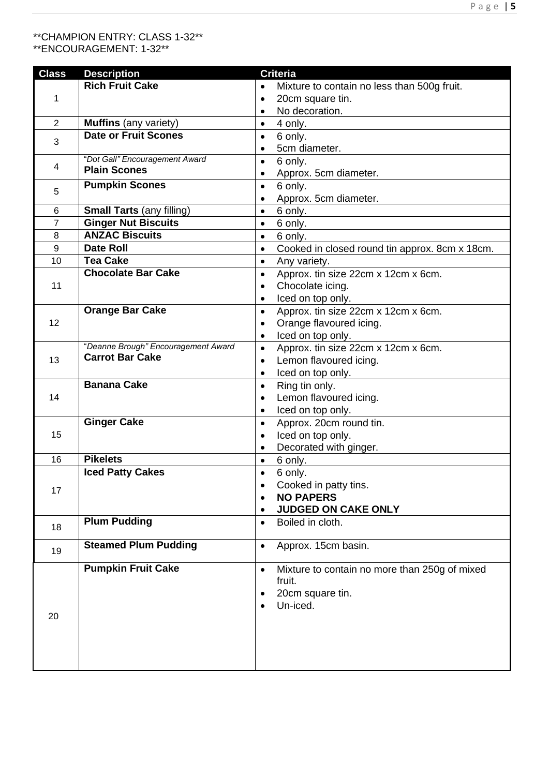#### P a g e | **5**

#### \*\*CHAMPION ENTRY: CLASS 1-32\*\* \*\*ENCOURAGEMENT: 1-32\*\*

| <b>Class</b>   | <b>Description</b>                  | <b>Criteria</b>                                             |
|----------------|-------------------------------------|-------------------------------------------------------------|
|                | <b>Rich Fruit Cake</b>              | Mixture to contain no less than 500g fruit.<br>$\bullet$    |
| 1              |                                     | 20cm square tin.<br>$\bullet$                               |
|                |                                     | No decoration.<br>$\bullet$                                 |
| $\overline{2}$ | <b>Muffins</b> (any variety)        | 4 only.<br>$\bullet$                                        |
|                | <b>Date or Fruit Scones</b>         | 6 only.<br>$\bullet$                                        |
| 3              |                                     | 5cm diameter.<br>$\bullet$                                  |
|                | "Dot Gall" Encouragement Award      | 6 only.<br>$\bullet$                                        |
| 4              | <b>Plain Scones</b>                 | Approx. 5cm diameter.<br>$\bullet$                          |
|                | <b>Pumpkin Scones</b>               | 6 only.<br>$\bullet$                                        |
| 5              |                                     | Approx. 5cm diameter.<br>$\bullet$                          |
| 6              | <b>Small Tarts (any filling)</b>    | 6 only.<br>$\bullet$                                        |
| $\overline{7}$ | <b>Ginger Nut Biscuits</b>          |                                                             |
| 8              | <b>ANZAC Biscuits</b>               | 6 only.<br>$\bullet$                                        |
|                |                                     | $\bullet$<br>6 only.                                        |
| 9              | <b>Date Roll</b>                    | Cooked in closed round tin approx. 8cm x 18cm.<br>$\bullet$ |
| 10             | <b>Tea Cake</b>                     | Any variety.<br>$\bullet$                                   |
|                | <b>Chocolate Bar Cake</b>           | Approx. tin size 22cm x 12cm x 6cm.<br>$\bullet$            |
| 11             |                                     | Chocolate icing.<br>$\bullet$                               |
|                |                                     | Iced on top only.<br>$\bullet$                              |
|                | <b>Orange Bar Cake</b>              | Approx. tin size 22cm x 12cm x 6cm.<br>$\bullet$            |
| 12             |                                     | Orange flavoured icing.<br>$\bullet$                        |
|                |                                     | Iced on top only.<br>$\bullet$                              |
|                | "Deanne Brough" Encouragement Award | Approx. tin size 22cm x 12cm x 6cm.<br>$\bullet$            |
| 13             | <b>Carrot Bar Cake</b>              | Lemon flavoured icing.<br>$\bullet$                         |
|                |                                     | Iced on top only.<br>$\bullet$                              |
|                | <b>Banana Cake</b>                  | Ring tin only.<br>$\bullet$                                 |
| 14             |                                     | Lemon flavoured icing.<br>$\bullet$                         |
|                |                                     | Iced on top only.<br>$\bullet$                              |
|                | <b>Ginger Cake</b>                  | Approx. 20cm round tin.<br>$\bullet$                        |
| 15             |                                     | Iced on top only.<br>$\bullet$                              |
|                |                                     | Decorated with ginger.<br>$\bullet$                         |
| 16             | <b>Pikelets</b>                     | 6 only.<br>$\bullet$                                        |
|                | <b>Iced Patty Cakes</b>             | 6 only.<br>$\bullet$                                        |
|                |                                     | Cooked in patty tins.                                       |
| 17             |                                     | <b>NO PAPERS</b>                                            |
|                |                                     | <b>JUDGED ON CAKE ONLY</b>                                  |
|                | <b>Plum Pudding</b>                 | Boiled in cloth.<br>$\bullet$                               |
| 18             |                                     |                                                             |
|                | <b>Steamed Plum Pudding</b>         | Approx. 15cm basin.<br>$\bullet$                            |
| 19             |                                     |                                                             |
|                | <b>Pumpkin Fruit Cake</b>           | Mixture to contain no more than 250g of mixed<br>$\bullet$  |
|                |                                     | fruit.                                                      |
|                |                                     | 20cm square tin.                                            |
|                |                                     | Un-iced.                                                    |
| 20             |                                     |                                                             |
|                |                                     |                                                             |
|                |                                     |                                                             |
|                |                                     |                                                             |
|                |                                     |                                                             |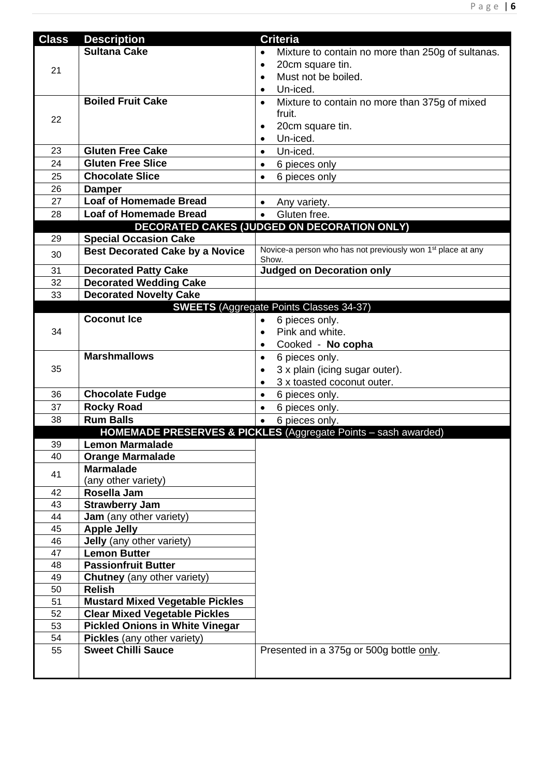| <b>Class</b> | <b>Description</b>                               | <b>Criteria</b>                                                                  |
|--------------|--------------------------------------------------|----------------------------------------------------------------------------------|
|              | <b>Sultana Cake</b>                              | Mixture to contain no more than 250g of sultanas.<br>$\bullet$                   |
|              |                                                  | 20cm square tin.<br>$\bullet$                                                    |
| 21           |                                                  | Must not be boiled.<br>$\bullet$                                                 |
|              |                                                  | Un-iced.<br>$\bullet$                                                            |
|              | <b>Boiled Fruit Cake</b>                         | Mixture to contain no more than 375g of mixed<br>$\bullet$                       |
|              |                                                  | fruit.                                                                           |
| 22           |                                                  | 20cm square tin.                                                                 |
|              |                                                  | Un-iced.<br>$\bullet$                                                            |
| 23           | <b>Gluten Free Cake</b>                          | Un-iced.<br>$\bullet$                                                            |
| 24           | <b>Gluten Free Slice</b>                         | 6 pieces only<br>$\bullet$                                                       |
| 25           | <b>Chocolate Slice</b>                           | 6 pieces only<br>$\bullet$                                                       |
| 26           | <b>Damper</b>                                    |                                                                                  |
| 27           | <b>Loaf of Homemade Bread</b>                    | $\bullet$<br>Any variety.                                                        |
| 28           | <b>Loaf of Homemade Bread</b>                    | Gluten free.<br>$\bullet$                                                        |
|              |                                                  | DECORATED CAKES (JUDGED ON DECORATION ONLY)                                      |
| 29           | <b>Special Occasion Cake</b>                     |                                                                                  |
| 30           | <b>Best Decorated Cake by a Novice</b>           | Novice-a person who has not previously won 1 <sup>st</sup> place at any<br>Show. |
| 31           | <b>Decorated Patty Cake</b>                      | <b>Judged on Decoration only</b>                                                 |
| 32           | <b>Decorated Wedding Cake</b>                    |                                                                                  |
| 33           | <b>Decorated Novelty Cake</b>                    |                                                                                  |
|              |                                                  | <b>SWEETS</b> (Aggregate Points Classes 34-37)                                   |
|              | <b>Coconut Ice</b>                               | 6 pieces only.<br>$\bullet$                                                      |
| 34           |                                                  | Pink and white.<br>$\bullet$                                                     |
|              |                                                  | Cooked - No copha<br>$\bullet$                                                   |
|              | <b>Marshmallows</b>                              | 6 pieces only.<br>$\bullet$                                                      |
| 35           |                                                  | 3 x plain (icing sugar outer).                                                   |
|              |                                                  | 3 x toasted coconut outer.                                                       |
| 36           | <b>Chocolate Fudge</b>                           | $\bullet$<br>6 pieces only.                                                      |
| 37           | <b>Rocky Road</b>                                | $\bullet$<br>6 pieces only.                                                      |
| 38           | <b>Rum Balls</b>                                 | 6 pieces only.                                                                   |
|              |                                                  | HOMEMADE PRESERVES & PICKLES (Aggregate Points - sash awarded)                   |
| 39           | <b>Lemon Marmalade</b>                           |                                                                                  |
| 40           | <b>Orange Marmalade</b>                          |                                                                                  |
| 41           | <b>Marmalade</b>                                 |                                                                                  |
|              | (any other variety)                              |                                                                                  |
| 42           | Rosella Jam                                      |                                                                                  |
| 43           | <b>Strawberry Jam</b>                            |                                                                                  |
| 44           | Jam (any other variety)                          |                                                                                  |
| 45           | <b>Apple Jelly</b>                               |                                                                                  |
| 46<br>47     | Jelly (any other variety)<br><b>Lemon Butter</b> |                                                                                  |
| 48           | <b>Passionfruit Butter</b>                       |                                                                                  |
| 49           | <b>Chutney</b> (any other variety)               |                                                                                  |
| 50           | <b>Relish</b>                                    |                                                                                  |
| 51           | <b>Mustard Mixed Vegetable Pickles</b>           |                                                                                  |
| 52           | <b>Clear Mixed Vegetable Pickles</b>             |                                                                                  |
| 53           | <b>Pickled Onions in White Vinegar</b>           |                                                                                  |
| 54           | Pickles (any other variety)                      |                                                                                  |
| 55           | <b>Sweet Chilli Sauce</b>                        | Presented in a 375g or 500g bottle only.                                         |
|              |                                                  |                                                                                  |
|              |                                                  |                                                                                  |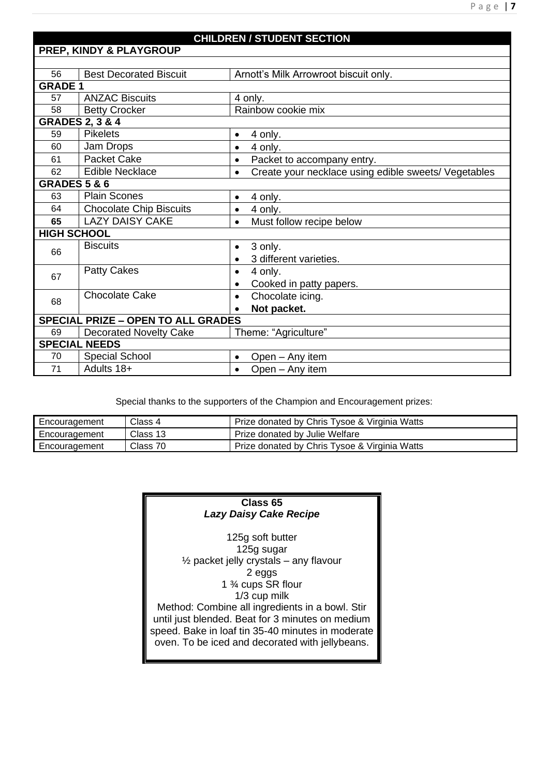|                                           | <b>PREP, KINDY &amp; PLAYGROUP</b> | <b>CHILDREN / STUDENT SECTION</b>                                 |
|-------------------------------------------|------------------------------------|-------------------------------------------------------------------|
|                                           |                                    |                                                                   |
| 56                                        | <b>Best Decorated Biscuit</b>      | Arnott's Milk Arrowroot biscuit only.                             |
| <b>GRADE 1</b>                            |                                    |                                                                   |
| 57                                        | <b>ANZAC Biscuits</b>              | 4 only.                                                           |
| 58                                        | <b>Betty Crocker</b>               | Rainbow cookie mix                                                |
|                                           | <b>GRADES 2, 3 &amp; 4</b>         |                                                                   |
| 59                                        | <b>Pikelets</b>                    | 4 only.<br>$\bullet$                                              |
| 60                                        | Jam Drops                          | 4 only.<br>$\bullet$                                              |
| 61                                        | <b>Packet Cake</b>                 | Packet to accompany entry.<br>$\bullet$                           |
| 62                                        | <b>Edible Necklace</b>             | Create your necklace using edible sweets/ Vegetables<br>$\bullet$ |
| <b>GRADES 5 &amp; 6</b>                   |                                    |                                                                   |
| 63                                        | <b>Plain Scones</b>                | 4 only.<br>$\bullet$                                              |
| 64                                        | <b>Chocolate Chip Biscuits</b>     | 4 only.<br>$\bullet$                                              |
| 65                                        | <b>LAZY DAISY CAKE</b>             | Must follow recipe below<br>$\bullet$                             |
| <b>HIGH SCHOOL</b>                        |                                    |                                                                   |
| 66                                        | <b>Biscuits</b>                    | 3 only.<br>$\bullet$                                              |
|                                           |                                    | 3 different varieties.<br>$\bullet$                               |
| 67                                        | <b>Patty Cakes</b>                 | 4 only.<br>$\bullet$                                              |
|                                           |                                    | Cooked in patty papers.<br>$\bullet$                              |
| 68                                        | <b>Chocolate Cake</b>              | Chocolate icing.<br>$\bullet$                                     |
|                                           |                                    | Not packet.                                                       |
| <b>SPECIAL PRIZE - OPEN TO ALL GRADES</b> |                                    |                                                                   |
| 69                                        | <b>Decorated Novelty Cake</b>      | Theme: "Agriculture"                                              |
|                                           | <b>SPECIAL NEEDS</b>               |                                                                   |
| 70                                        | Special School                     | Open - Any item<br>$\bullet$                                      |
| 71                                        | Adults 18+                         | Open - Any item<br>$\bullet$                                      |

Special thanks to the supporters of the Champion and Encouragement prizes:

| Encouragement | Class 4  | Prize donated by Chris Tysoe & Virginia Watts |
|---------------|----------|-----------------------------------------------|
| Encouragement | Class 13 | Prize donated by Julie Welfare                |
| Encouragement | Class 70 | Prize donated by Chris Tysoe & Virginia Watts |

#### **Class 65** *Lazy Daisy Cake Recipe*

125g soft butter 125g sugar ½ packet jelly crystals – any flavour 2 eggs 1 ¾ cups SR flour 1/3 cup milk Method: Combine all ingredients in a bowl. Stir until just blended. Beat for 3 minutes on medium speed. Bake in loaf tin 35-40 minutes in moderate oven. To be iced and decorated with jellybeans.